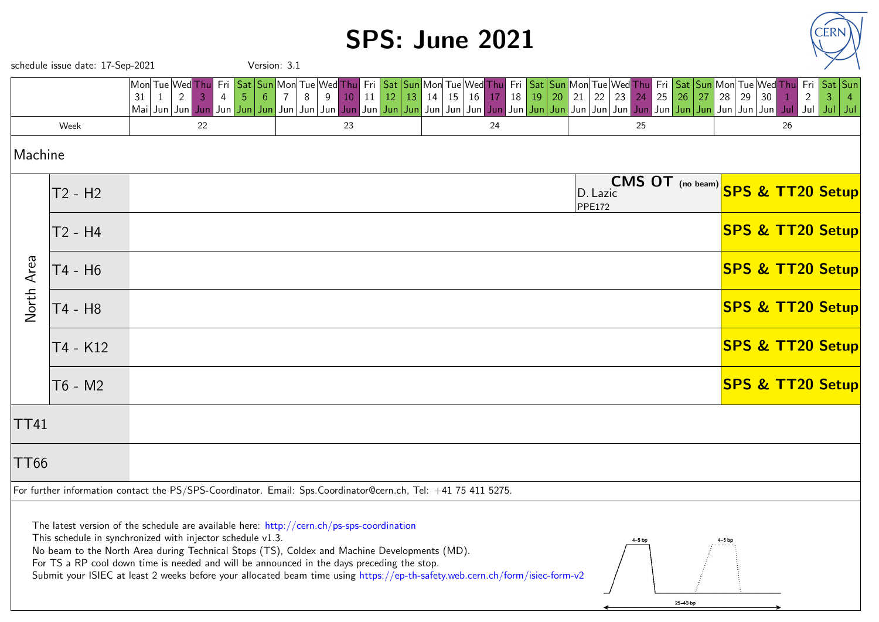## SPS: June 2021



|                                                                                                                                                                                                                                                                                                                                                                                                                                                                                                     | schedule issue date: 17-Sep-2021 |                                                                      | Version: 3.1 |                                                                                                                                                                                                                                                                                                                                                                                                                          |          |                         |                      |                           |                                   |          |                             |                                      |                               |
|-----------------------------------------------------------------------------------------------------------------------------------------------------------------------------------------------------------------------------------------------------------------------------------------------------------------------------------------------------------------------------------------------------------------------------------------------------------------------------------------------------|----------------------------------|----------------------------------------------------------------------|--------------|--------------------------------------------------------------------------------------------------------------------------------------------------------------------------------------------------------------------------------------------------------------------------------------------------------------------------------------------------------------------------------------------------------------------------|----------|-------------------------|----------------------|---------------------------|-----------------------------------|----------|-----------------------------|--------------------------------------|-------------------------------|
|                                                                                                                                                                                                                                                                                                                                                                                                                                                                                                     |                                  | Mon Tue Wed Thu<br>Fri<br>$2^{\circ}$<br>31<br>-4<br>Mai Jun Jun Jun | 5            | Sat  Sun Mon Tue Wed <mark> Thu  Fri  Sat  Sun </mark> Mon Tue Wed <mark> Thu  Fri  Sat  Sun </mark> Mon Tue Wed Thu  Fri  Sat  Sun Mon Tue Wed Thu <br>11<br>8<br>10 <sup>°</sup><br>9<br>  Jun   Jun   Jun   Jun   Jun   Jun   Jun   Jun   Jun   Jun   Jun   Jun   Jun   Jun   Jun   Jun   Jun   Jun   Jun   Jun   Jun   Jun   Jun   Jun   Jun   Jun   Jun   Jun   Jun   Jun   Jun   Jun   Jun   Jun   Jun   Jun   Jun | 12<br>13 | 14<br>$\sqrt{15}$<br>16 | 20<br>18<br>19<br>17 | 22<br>21                  | 25<br>23<br>24                    | 26<br>27 | 28<br>30<br>29              | Fri<br>$\overline{2}$<br>$ $ Jul $ $ | $Sat$ Sun<br>3<br>Jul $ $ Jul |
|                                                                                                                                                                                                                                                                                                                                                                                                                                                                                                     | Week                             | 22                                                                   |              | 23                                                                                                                                                                                                                                                                                                                                                                                                                       |          |                         | 24                   |                           | 25                                |          |                             | 26                                   |                               |
| Machine                                                                                                                                                                                                                                                                                                                                                                                                                                                                                             |                                  |                                                                      |              |                                                                                                                                                                                                                                                                                                                                                                                                                          |          |                         |                      |                           |                                   |          |                             |                                      |                               |
|                                                                                                                                                                                                                                                                                                                                                                                                                                                                                                     | T2 - H2                          |                                                                      |              |                                                                                                                                                                                                                                                                                                                                                                                                                          |          |                         |                      | D. Lazic<br><b>PPE172</b> | CMS OT (no beam) SPS & TT20 Setup |          |                             |                                      |                               |
|                                                                                                                                                                                                                                                                                                                                                                                                                                                                                                     | T2 - H4                          |                                                                      |              |                                                                                                                                                                                                                                                                                                                                                                                                                          |          |                         |                      |                           |                                   |          | <b>SPS &amp; TT20 Setup</b> |                                      |                               |
| Area                                                                                                                                                                                                                                                                                                                                                                                                                                                                                                | T4 - H6                          |                                                                      |              |                                                                                                                                                                                                                                                                                                                                                                                                                          |          |                         |                      |                           |                                   |          | <b>SPS &amp; TT20 Setup</b> |                                      |                               |
| North                                                                                                                                                                                                                                                                                                                                                                                                                                                                                               | T4 - H8                          |                                                                      |              |                                                                                                                                                                                                                                                                                                                                                                                                                          |          |                         |                      |                           |                                   |          | <b>SPS &amp; TT20 Setup</b> |                                      |                               |
|                                                                                                                                                                                                                                                                                                                                                                                                                                                                                                     | T4 - K12                         |                                                                      |              |                                                                                                                                                                                                                                                                                                                                                                                                                          |          |                         |                      |                           |                                   |          | <b>SPS &amp; TT20 Setup</b> |                                      |                               |
|                                                                                                                                                                                                                                                                                                                                                                                                                                                                                                     | T6 - M2                          |                                                                      |              |                                                                                                                                                                                                                                                                                                                                                                                                                          |          |                         |                      |                           |                                   |          | <b>SPS &amp; TT20 Setup</b> |                                      |                               |
| <b>TT41</b>                                                                                                                                                                                                                                                                                                                                                                                                                                                                                         |                                  |                                                                      |              |                                                                                                                                                                                                                                                                                                                                                                                                                          |          |                         |                      |                           |                                   |          |                             |                                      |                               |
| <b>TT66</b>                                                                                                                                                                                                                                                                                                                                                                                                                                                                                         |                                  |                                                                      |              |                                                                                                                                                                                                                                                                                                                                                                                                                          |          |                         |                      |                           |                                   |          |                             |                                      |                               |
| For further information contact the PS/SPS-Coordinator. Email: Sps.Coordinator@cern.ch, Tel: +41 75 411 5275.                                                                                                                                                                                                                                                                                                                                                                                       |                                  |                                                                      |              |                                                                                                                                                                                                                                                                                                                                                                                                                          |          |                         |                      |                           |                                   |          |                             |                                      |                               |
| The latest version of the schedule are available here: $http://cern.ch/ps-sps-coordination$<br>This schedule in synchronized with injector schedule v1.3.<br>No beam to the North Area during Technical Stops (TS), Coldex and Machine Developments (MD).<br>For TS a RP cool down time is needed and will be announced in the days preceding the stop.<br>Submit your ISIEC at least 2 weeks before your allocated beam time using https://ep-th-safety.web.cern.ch/form/isiec-form-v2<br>25-43 bp |                                  |                                                                      |              |                                                                                                                                                                                                                                                                                                                                                                                                                          |          |                         |                      |                           |                                   |          |                             |                                      |                               |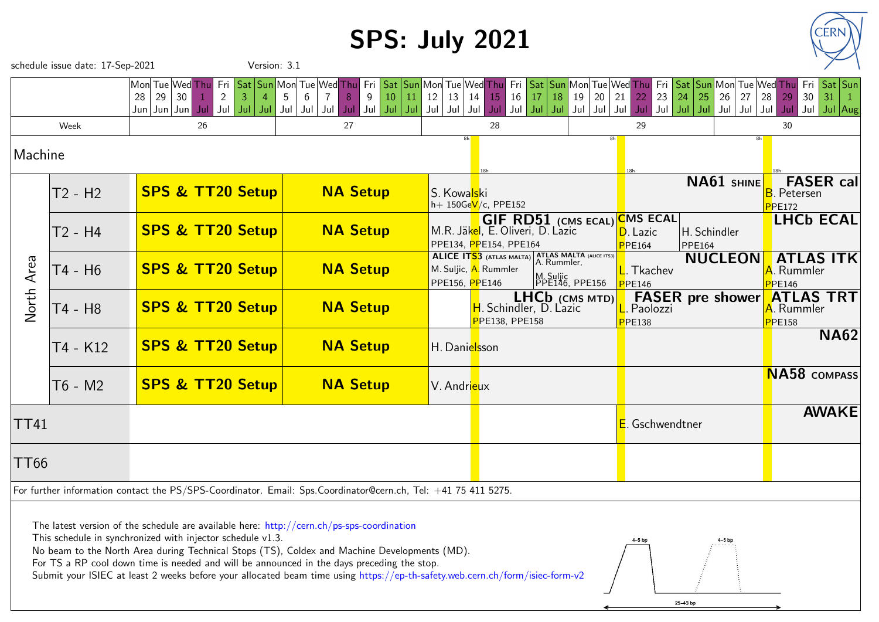# SPS: July 2021



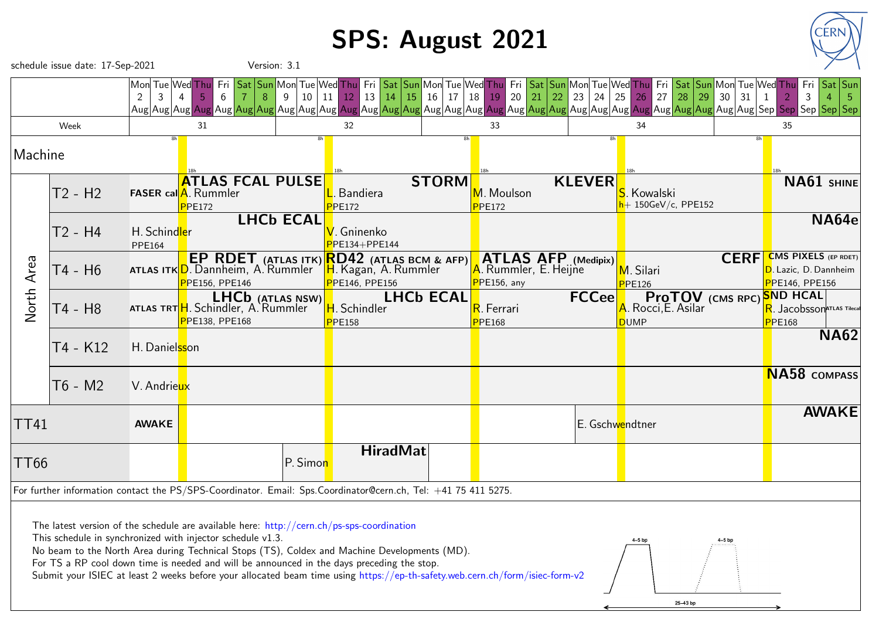## SPS: August 2021



| schedule issue date: 17-Sep-2021<br>Version: 3.1                                                                                                                                                                                                                                                                                                                                                                                                                                                                  |                                                                                                               |                                                                          |                                                                                   |                  |                                                                                              |                            |                              |                                  |                                                                                     |                |                                                                                      |  |
|-------------------------------------------------------------------------------------------------------------------------------------------------------------------------------------------------------------------------------------------------------------------------------------------------------------------------------------------------------------------------------------------------------------------------------------------------------------------------------------------------------------------|---------------------------------------------------------------------------------------------------------------|--------------------------------------------------------------------------|-----------------------------------------------------------------------------------|------------------|----------------------------------------------------------------------------------------------|----------------------------|------------------------------|----------------------------------|-------------------------------------------------------------------------------------|----------------|--------------------------------------------------------------------------------------|--|
|                                                                                                                                                                                                                                                                                                                                                                                                                                                                                                                   |                                                                                                               | Mon  Tue  Wed  Thu  <br>$\overline{2}$<br>$\mathbf{3}$<br>$\overline{4}$ | Fri<br>8<br>5<br>6                                                                | 10<br>-9         | Sat Sun Mon Tue Wed Thu Fri Sat Sun Mon Tue Wed Thu<br>$13 \mid 14$<br>11<br>12 <sup>1</sup> | $15 \mid 16 \mid 17$<br>18 | 20<br>19                     | 21 $\vert$<br>$22 \mid 23$<br>24 | Fri Sat Sun Mon Tue Wed Thu Fri Sat Sun Mon Tue Wed Thu<br>$25 \mid 26$<br>27 28 29 | 31<br>30<br>-1 | Fri   Sat   Sun<br>2<br>-3                                                           |  |
|                                                                                                                                                                                                                                                                                                                                                                                                                                                                                                                   | Week                                                                                                          |                                                                          | 31                                                                                |                  | 32                                                                                           |                            | 33                           |                                  | 34                                                                                  |                | 35                                                                                   |  |
| Machine                                                                                                                                                                                                                                                                                                                                                                                                                                                                                                           |                                                                                                               |                                                                          |                                                                                   |                  |                                                                                              |                            |                              |                                  |                                                                                     |                |                                                                                      |  |
|                                                                                                                                                                                                                                                                                                                                                                                                                                                                                                                   | T2 - H2                                                                                                       |                                                                          | <b>ATLAS FCAL PULSE</b><br><b>FASER cal</b> A. Rummler<br>PPE172                  |                  | <b>Bandiera</b><br>PPE172                                                                    | <b>STORM</b>               | M. Moulson<br><b>PPE172</b>  | <b>KLEVER</b>                    | S. Kowalski<br>h+ 150GeV/c, PPE152                                                  |                | NA61 SHINE                                                                           |  |
|                                                                                                                                                                                                                                                                                                                                                                                                                                                                                                                   | T2 - H4                                                                                                       | H. Schindler<br><b>PPE164</b>                                            |                                                                                   | <b>LHCb ECAL</b> | <mark>√</mark> . Gninenko<br>PE134+PPE144                                                    |                            |                              |                                  |                                                                                     |                | NA64e                                                                                |  |
| Area                                                                                                                                                                                                                                                                                                                                                                                                                                                                                                              | T4 - H6                                                                                                       |                                                                          | <b>EP RDET</b> (ATLAS ITK)<br>ATLAS ITK D. Dannheim, A. Rummler<br>PPE156, PPE146 |                  | RD42 (ATLAS BCM & AFP)<br><mark>H</mark> . Kagan, A. Rummler<br>PPE146, PPE156               |                            | PPE156, any                  | ATLAS AFP (Medipix)              | M. Silari<br><b>PPE126</b>                                                          | <b>CERF</b>    | <b>CMS PIXELS</b> (EP RDET)<br><mark>D</mark> . Lazic, D. Dannheim<br>PPE146, PPE156 |  |
| <b>North</b>                                                                                                                                                                                                                                                                                                                                                                                                                                                                                                      | T4 - H8                                                                                                       |                                                                          | LHCb (ATLAS NSW)<br>ATLAS TRTH. Schindler, A. Rummler<br>PPE138, PPE168           |                  | H. Schindler<br><b>PPE158</b>                                                                | <b>LHCb ECAL</b>           | R. Ferrari<br><b>P</b> PE168 | <b>FCCee</b>                     | <b>ProTOV</b> (CMS RPC) SND HCAL<br>A. Rocci, E. Asilar<br><b>DUMP</b>              |                | R. Jacobsson ATLAS Tilecal<br>PPE168                                                 |  |
|                                                                                                                                                                                                                                                                                                                                                                                                                                                                                                                   | T4 - K12                                                                                                      | H. Danielsson                                                            |                                                                                   |                  |                                                                                              |                            |                              |                                  |                                                                                     |                | <b>NA62</b>                                                                          |  |
|                                                                                                                                                                                                                                                                                                                                                                                                                                                                                                                   | T6 - M2                                                                                                       | V. Andrieux                                                              |                                                                                   |                  |                                                                                              |                            |                              |                                  |                                                                                     |                | <b>NA58</b> COMPASS                                                                  |  |
| <b>TT41</b>                                                                                                                                                                                                                                                                                                                                                                                                                                                                                                       |                                                                                                               | <b>AWAKE</b>                                                             |                                                                                   |                  |                                                                                              |                            |                              |                                  | E. Gschwendtner                                                                     |                | <b>AWAKE</b>                                                                         |  |
| <b>TT66</b>                                                                                                                                                                                                                                                                                                                                                                                                                                                                                                       |                                                                                                               |                                                                          |                                                                                   | P. Simon         | <b>HiradMat</b>                                                                              |                            |                              |                                  |                                                                                     |                |                                                                                      |  |
|                                                                                                                                                                                                                                                                                                                                                                                                                                                                                                                   | For further information contact the PS/SPS-Coordinator. Email: Sps.Coordinator@cern.ch, Tel: +41 75 411 5275. |                                                                          |                                                                                   |                  |                                                                                              |                            |                              |                                  |                                                                                     |                |                                                                                      |  |
| The latest version of the schedule are available here: http://cern.ch/ps-sps-coordination<br>This schedule in synchronized with injector schedule v1.3.<br>$4-5$ bp<br>No beam to the North Area during Technical Stops (TS), Coldex and Machine Developments (MD).<br>For TS a RP cool down time is needed and will be announced in the days preceding the stop.<br>Submit your ISIEC at least 2 weeks before your allocated beam time using https://ep-th-safety.web.cern.ch/form/isiec-form-v2<br>$25 - 43$ bp |                                                                                                               |                                                                          |                                                                                   |                  |                                                                                              |                            |                              |                                  |                                                                                     |                |                                                                                      |  |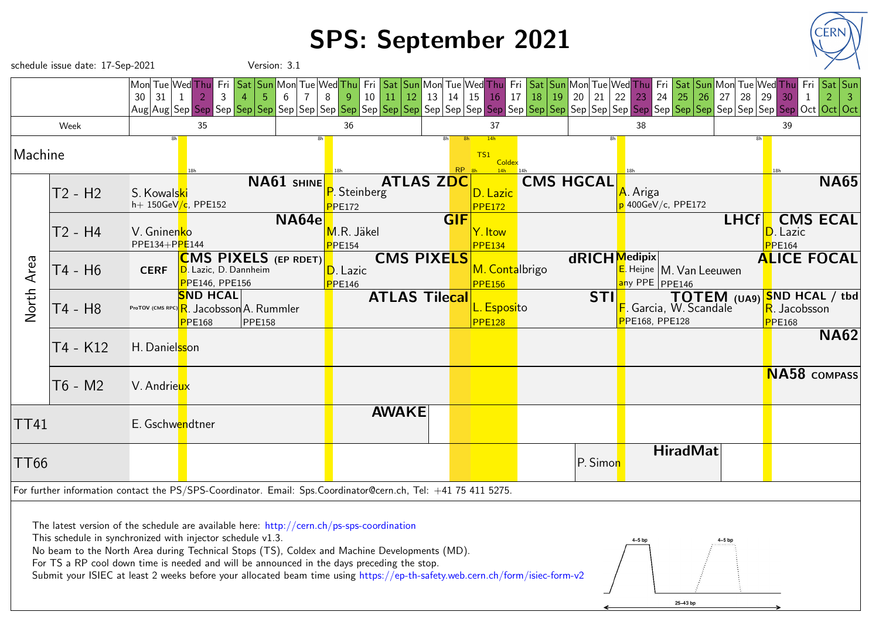### SPS: September 2021



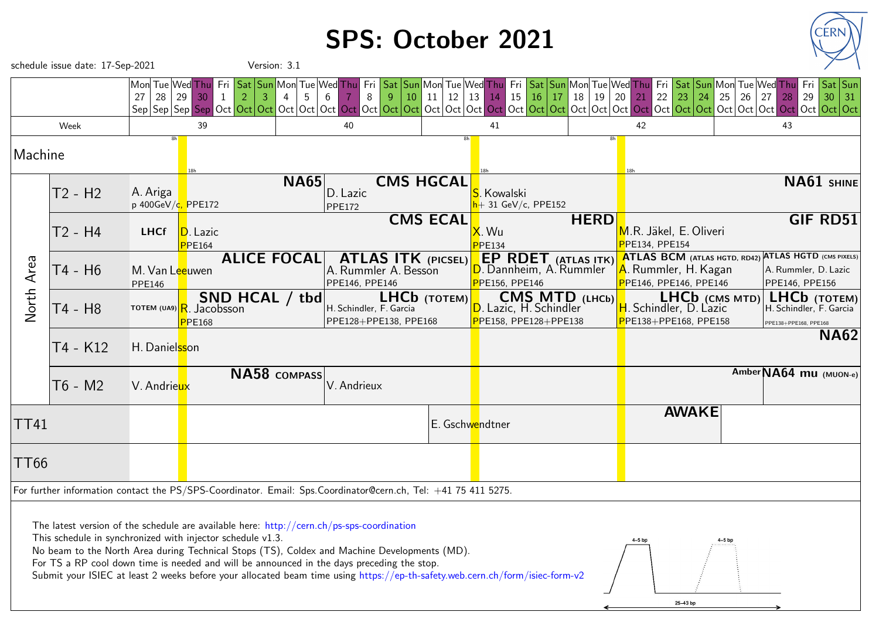### SPS: October 2021



|             | schedule issue date: 17-Sep-2021                                                                                                                                                                                                                                                                                                                                                                                                                                                                             |                                              |                                                                                                                          | Version: 3.1       |                                                                                                               |                                                                            |                                                                                       |          |                |                |                                                                                                        |          |                                                  |                                        |  |
|-------------|--------------------------------------------------------------------------------------------------------------------------------------------------------------------------------------------------------------------------------------------------------------------------------------------------------------------------------------------------------------------------------------------------------------------------------------------------------------------------------------------------------------|----------------------------------------------|--------------------------------------------------------------------------------------------------------------------------|--------------------|---------------------------------------------------------------------------------------------------------------|----------------------------------------------------------------------------|---------------------------------------------------------------------------------------|----------|----------------|----------------|--------------------------------------------------------------------------------------------------------|----------|--------------------------------------------------|----------------------------------------|--|
|             |                                                                                                                                                                                                                                                                                                                                                                                                                                                                                                              | 27                                           | Mon  Tue  Wed  Thu   Fri   Sat   Sun   Mon  Tue   Wed <mark>  Thu</mark><br>$28 \mid 29 \mid 30$<br>$\overline{2}$<br>-1 |                    | Fri<br>$\overline{9}$<br>8<br>6                                                                               | Sat   Sun   Mon  Tue   Wed  Thu  <br>11<br>$12 \mid 13$<br>10 <sup>1</sup> | 15<br><b>14</b>                                                                       | 16<br>17 | 18<br>19       | 20<br>21       | $\vert$ 23 $\vert$<br>22<br>24                                                                         | 25<br>26 | 27<br>28                                         | Sat Sun<br><u>Fri</u><br>29<br>30   31 |  |
|             | Week                                                                                                                                                                                                                                                                                                                                                                                                                                                                                                         |                                              | 39                                                                                                                       |                    | 40                                                                                                            |                                                                            | 41                                                                                    |          | 42             |                |                                                                                                        | 43       |                                                  |                                        |  |
| Machine     |                                                                                                                                                                                                                                                                                                                                                                                                                                                                                                              |                                              |                                                                                                                          |                    |                                                                                                               |                                                                            |                                                                                       |          |                |                |                                                                                                        |          |                                                  |                                        |  |
|             | T2 - H2                                                                                                                                                                                                                                                                                                                                                                                                                                                                                                      | A. Ariga<br>p 400GeV/ <mark>c, PPE172</mark> |                                                                                                                          | <b>NA65</b>        | D. Lazic<br><b>PPE172</b>                                                                                     | <b>CMS HGCAL</b>                                                           | . Kowalski<br>$+31$ GeV/c, PPE152                                                     |          |                |                |                                                                                                        |          |                                                  | NA61 SHINE                             |  |
|             | T2 - H4                                                                                                                                                                                                                                                                                                                                                                                                                                                                                                      | <b>LHCf</b>                                  | D. Lazic<br><b>PPE164</b>                                                                                                |                    |                                                                                                               | <b>CMS ECAL</b>                                                            | X. Wu<br><b>PPE134</b>                                                                |          | <b>HERD</b>    | PPE134, PPE154 | M.R. Jäkel, E. Oliveri                                                                                 |          |                                                  | <b>GIF RD51</b>                        |  |
| Area        | T4 - H6                                                                                                                                                                                                                                                                                                                                                                                                                                                                                                      | M. Van Leeuwen<br>PPE146                     |                                                                                                                          | <b>ALICE FOCAL</b> | <b>ATLAS ITK (PICSEL)</b><br>A. Rummler A. Besson<br>PPE146, PPE146                                           |                                                                            | <b>EP RDET</b> (ATLAS ITK)<br><mark>D</mark> . Dannheim, A.`Rummler<br>PPE156, PPE146 |          |                |                | ATLAS BCM (ATLAS HGTD, RD42) ATLAS HGTD (CMS PIXELS)<br>A. Rummler, H. Kagan<br>PPE146, PPE146, PPE146 |          | A. Rummler, D. Lazic<br>PPE146, PPE156           |                                        |  |
| North       | T4 - H8                                                                                                                                                                                                                                                                                                                                                                                                                                                                                                      |                                              | SND HCAL / tbd<br>TOTEM (UA9) R. Jacobsson<br>PPE168                                                                     |                    | H. Schindler, F. Garcia<br>PPE128+PPE138, PPE168                                                              | LHCb (TOTEM)                                                               | D. Lazic, H. Schindler<br>PPE158, PPE128+PPE138                                       |          | CMS MTD (LHCb) |                | LHCb (CMS MTD)<br>H. Schindler, D. Lazic<br>PPE138+PPE168, PPE158                                      |          | H. Schindler, F. Garcia<br>PPE138+PPE168, PPE168 | $LHCb$ (TOTEM)                         |  |
|             | T4 - K12                                                                                                                                                                                                                                                                                                                                                                                                                                                                                                     | H. Daniel <mark>ss</mark> on                 |                                                                                                                          |                    |                                                                                                               |                                                                            |                                                                                       |          |                |                |                                                                                                        |          |                                                  | <b>NA62</b>                            |  |
|             | T6 - M2                                                                                                                                                                                                                                                                                                                                                                                                                                                                                                      | V. Andrieux                                  |                                                                                                                          | NA58 COMPASS       | V. Andrieux                                                                                                   |                                                                            |                                                                                       |          |                |                |                                                                                                        |          | Amber NA64 mu (MUON-e)                           |                                        |  |
| <b>TT41</b> |                                                                                                                                                                                                                                                                                                                                                                                                                                                                                                              |                                              |                                                                                                                          |                    |                                                                                                               |                                                                            | E. Gschwendtner                                                                       |          |                |                | <b>AWAKE</b>                                                                                           |          |                                                  |                                        |  |
| <b>TT66</b> |                                                                                                                                                                                                                                                                                                                                                                                                                                                                                                              |                                              |                                                                                                                          |                    |                                                                                                               |                                                                            |                                                                                       |          |                |                |                                                                                                        |          |                                                  |                                        |  |
|             |                                                                                                                                                                                                                                                                                                                                                                                                                                                                                                              |                                              |                                                                                                                          |                    | For further information contact the PS/SPS-Coordinator. Email: Sps.Coordinator@cern.ch, Tel: +41 75 411 5275. |                                                                            |                                                                                       |          |                |                |                                                                                                        |          |                                                  |                                        |  |
|             | The latest version of the schedule are available here: $\frac{http://cern.ch/ps-sys-coordination}{}$<br>This schedule in synchronized with injector schedule v1.3.<br>No beam to the North Area during Technical Stops (TS), Coldex and Machine Developments (MD).<br>For TS a RP cool down time is needed and will be announced in the days preceding the stop.<br>Submit your ISIEC at least 2 weeks before your allocated beam time using https://ep-th-safety.web.cern.ch/form/isiec-form-v2<br>25-43 bp |                                              |                                                                                                                          |                    |                                                                                                               |                                                                            |                                                                                       |          |                |                |                                                                                                        |          |                                                  |                                        |  |